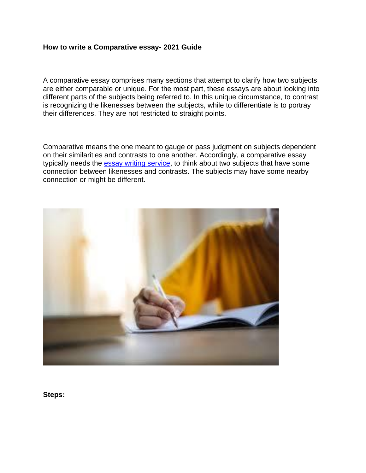#### **How to write a Comparative essay- 2021 Guide**

A comparative essay comprises many sections that attempt to clarify how two subjects are either comparable or unique. For the most part, these essays are about looking into different parts of the subjects being referred to. In this unique circumstance, to contrast is recognizing the likenesses between the subjects, while to differentiate is to portray their differences. They are not restricted to straight points.

Comparative means the one meant to gauge or pass judgment on subjects dependent on their similarities and contrasts to one another. Accordingly, a comparative essay typically needs the **essay writing service**, to think about two subjects that have some connection between likenesses and contrasts. The subjects may have some nearby connection or might be different.



**Steps:**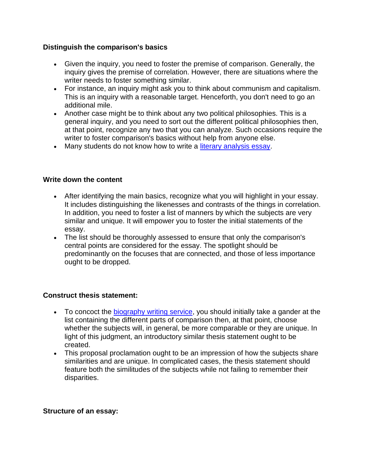## **Distinguish the comparison's basics**

- Given the inquiry, you need to foster the premise of comparison. Generally, the inquiry gives the premise of correlation. However, there are situations where the writer needs to foster something similar.
- For instance, an inquiry might ask you to think about communism and capitalism. This is an inquiry with a reasonable target. Henceforth, you don't need to go an additional mile.
- Another case might be to think about any two political philosophies. This is a general inquiry, and you need to sort out the different political philosophies then, at that point, recognize any two that you can analyze. Such occasions require the writer to foster comparison's basics without help from anyone else.
- Many students do not know how to write a [literary analysis essay.](https://perfectessaywriting.com/blog/literary-analysis-essay)

## **Write down the content**

- After identifying the main basics, recognize what you will highlight in your essay. It includes distinguishing the likenesses and contrasts of the things in correlation. In addition, you need to foster a list of manners by which the subjects are very similar and unique. It will empower you to foster the initial statements of the essay.
- The list should be thoroughly assessed to ensure that only the comparison's central points are considered for the essay. The spotlight should be predominantly on the focuses that are connected, and those of less importance ought to be dropped.

# **Construct thesis statement:**

- To concoct the [biography writing service,](https://perfectessaywriting.com/biography-writing-services) you should initially take a gander at the list containing the different parts of comparison then, at that point, choose whether the subjects will, in general, be more comparable or they are unique. In light of this judgment, an introductory similar thesis statement ought to be created.
- This proposal proclamation ought to be an impression of how the subjects share similarities and are unique. In complicated cases, the thesis statement should feature both the similitudes of the subjects while not failing to remember their disparities.

### **Structure of an essay:**